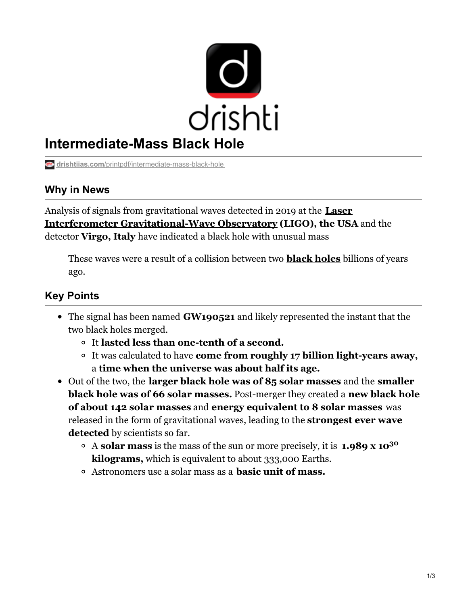

# **Intermediate-Mass Black Hole**

**drishtiias.com**[/printpdf/intermediate-mass-black-hole](https://www.drishtiias.com/printpdf/intermediate-mass-black-hole)

## **Why in News**

Analysis of signals from gravitational waves detected in 2019 at the **Laser Interferometer [Gravitational-Wave](https://www.drishtiias.com/daily-updates/daily-news-analysis/merger-of-two-black-holes-with-unequal-masses-detected#:~:text=A black hole is a,orbit each other and merge.) Observatory (LIGO), the USA** and the detector **Virgo, Italy** have indicated a black hole with unusual mass

These waves were a result of a collision between two **[black](https://www.drishtiias.com/daily-updates/daily-news-analysis/first-images-of-a-black-hole) holes** billions of years ago.

# **Key Points**

- The signal has been named **GW190521** and likely represented the instant that the two black holes merged.
	- It **lasted less than one-tenth of a second.**
	- It was calculated to have **come from roughly 17 billion light-years away,** a **time when the universe was about half its age.**
- Out of the two, the **larger black hole was of 85 solar masses** and the **smaller black hole was of 66 solar masses.** Post-merger they created a **new black hole of about 142 solar masses** and **energy equivalent to 8 solar masses** was released in the form of gravitational waves, leading to the **strongest ever wave detected** by scientists so far.
	- A **solar mass** is the mass of the sun or more precisely, it is **1.989 x 10 30 kilograms,** which is equivalent to about 333,000 Earths.
	- Astronomers use a solar mass as a **basic unit of mass.**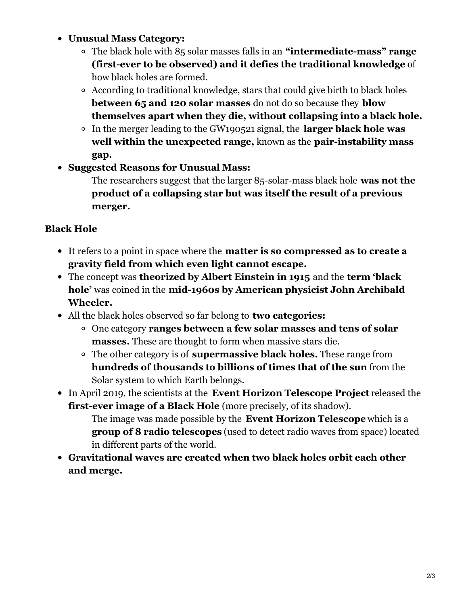#### **Unusual Mass Category:**

- The black hole with 85 solar masses falls in an **"intermediate-mass" range (first-ever to be observed) and it defies the traditional knowledge** of how black holes are formed.
- According to traditional knowledge, stars that could give birth to black holes **between 65 and 120 solar masses** do not do so because they **blow themselves apart when they die, without collapsing into a black hole.**
- In the merger leading to the GW190521 signal, the **larger black hole was well within the unexpected range,** known as the **pair-instability mass gap.**
- **Suggested Reasons for Unusual Mass:**

The researchers suggest that the larger 85-solar-mass black hole **was not the product of a collapsing star but was itself the result of a previous merger.**

## **Black Hole**

- It refers to a point in space where the **matter is so compressed as to create a gravity field from which even light cannot escape.**
- The concept was **theorized by Albert Einstein in 1915** and the **term 'black hole'** was coined in the **mid-1960s by American physicist John Archibald Wheeler.**
- All the black holes observed so far belong to **two categories:**
	- One category **ranges between a few solar masses and tens of solar masses.** These are thought to form when massive stars die.
	- The other category is of **supermassive black holes.** These range from **hundreds of thousands to billions of times that of the sun** from the Solar system to which Earth belongs.
- In April 2019, the scientists at the **Event Horizon Telescope Project** released the **[first-ever](https://www.drishtiias.com/daily-updates/daily-news-analysis/first-images-of-a-black-hole) image of a Black Hole** (more precisely, of its shadow).

The image was made possible by the **Event Horizon Telescope** which is a **group of 8 radio telescopes** (used to detect radio waves from space) located in different parts of the world.

**Gravitational waves are created when two black holes orbit each other and merge.**